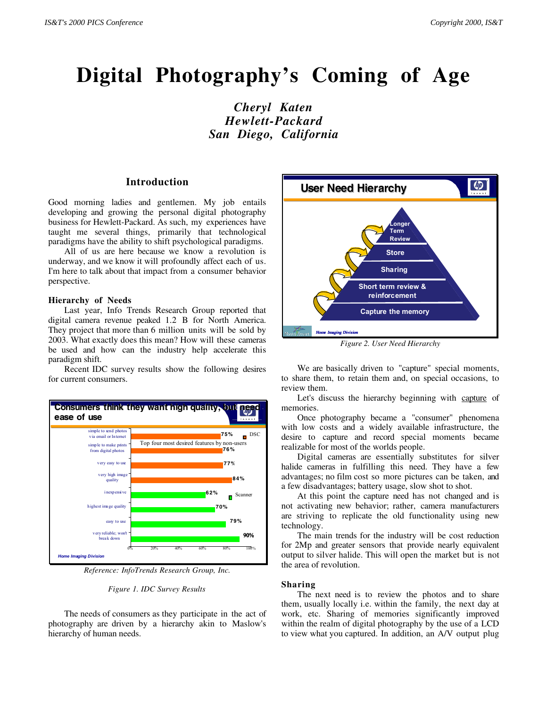# **Digital Photography's Coming of Age**

*Cheryl Katen Hewlett-Packard San Diego, California*

# **Introduction**

Good morning ladies and gentlemen. My job entails developing and growing the personal digital photography business for Hewlett-Packard. As such, my experiences have taught me several things, primarily that technological paradigms have the ability to shift psychological paradigms.

All of us are here because we know a revolution is underway, and we know it will profoundly affect each of us. I'm here to talk about that impact from a consumer behavior perspective.

#### **Hierarchy of Needs**

Last year, Info Trends Research Group reported that digital camera revenue peaked 1.2 B for North America. They project that more than 6 million units will be sold by 2003. What exactly does this mean? How will these cameras be used and how can the industry help accelerate this paradigm shift.

Recent IDC survey results show the following desires for current consumers.



*Reference: InfoTrends Research Group, Inc.*



The needs of consumers as they participate in the act of photography are driven by a hierarchy akin to Maslow's hierarchy of human needs.



*Figure 2. User Need Hierarchy*

We are basically driven to "capture" special moments, to share them, to retain them and, on special occasions, to review them.

Let's discuss the hierarchy beginning with capture of memories.

Once photography became a "consumer" phenomena with low costs and a widely available infrastructure, the desire to capture and record special moments became realizable for most of the worlds people.

Digital cameras are essentially substitutes for silver halide cameras in fulfilling this need. They have a few advantages; no film cost so more pictures can be taken, and a few disadvantages; battery usage, slow shot to shot.

At this point the capture need has not changed and is not activating new behavior; rather, camera manufacturers are striving to replicate the old functionality using new technology.

The main trends for the industry will be cost reduction for 2Mp and greater sensors that provide nearly equivalent output to silver halide. This will open the market but is not the area of revolution.

#### **Sharing**

The next need is to review the photos and to share them, usually locally i.e. within the family, the next day at work, etc. Sharing of memories significantly improved within the realm of digital photography by the use of a LCD to view what you captured. In addition, an A/V output plug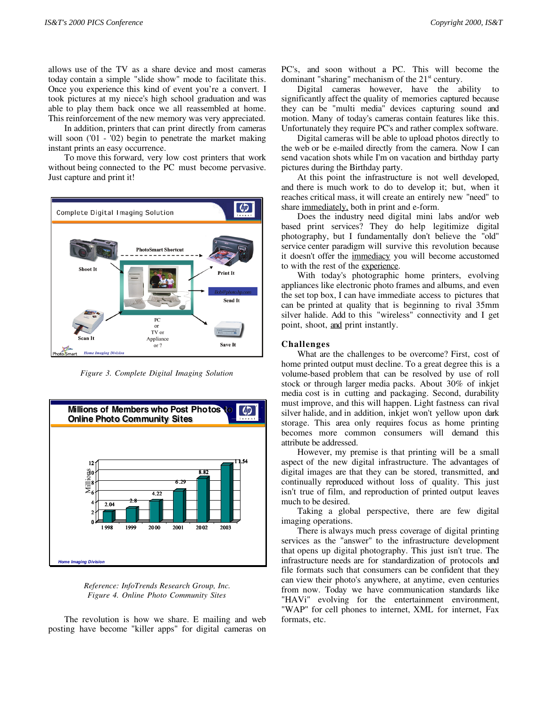allows use of the TV as a share device and most cameras today contain a simple "slide show" mode to facilitate this. Once you experience this kind of event you're a convert. I took pictures at my niece's high school graduation and was able to play them back once we all reassembled at home. This reinforcement of the new memory was very appreciated.

In addition, printers that can print directly from cameras will soon ('01 - '02) begin to penetrate the market making instant prints an easy occurrence.

To move this forward, very low cost printers that work without being connected to the PC must become pervasive. Just capture and print it!



*Figure 3. Complete Digital Imaging Solution*



*Reference: InfoTrends Research Group, Inc. Figure 4. Online Photo Community Sites*

The revolution is how we share. E mailing and web posting have become "killer apps" for digital cameras on PC's, and soon without a PC. This will become the dominant "sharing" mechanism of the 21<sup>st</sup> century.

Digital cameras however, have the ability to significantly affect the quality of memories captured because they can be "multi media" devices capturing sound and motion. Many of today's cameras contain features like this. Unfortunately they require PC's and rather complex software.

Digital cameras will be able to upload photos directly to the web or be e-mailed directly from the camera. Now I can send vacation shots while I'm on vacation and birthday party pictures during the Birthday party.

At this point the infrastructure is not well developed, and there is much work to do to develop it; but, when it reaches critical mass, it will create an entirely new "need" to share <u>immediately</u>, both in print and e-form.

Does the industry need digital mini labs and/or web based print services? They do help legitimize digital photography, but I fundamentally don't believe the "old" service center paradigm will survive this revolution because it doesn't offer the immediacy you will become accustomed to with the rest of the experience.

With today's photographic home printers, evolving appliances like electronic photo frames and albums, and even the set top box, I can have immediate access to pictures that can be printed at quality that is beginning to rival 35mm silver halide. Add to this "wireless" connectivity and I get point, shoot, and print instantly.

## **Challenges**

What are the challenges to be overcome? First, cost of home printed output must decline. To a great degree this is a volume-based problem that can be resolved by use of roll stock or through larger media packs. About 30% of inkjet media cost is in cutting and packaging. Second, durability must improve, and this will happen. Light fastness can rival silver halide, and in addition, inkjet won't yellow upon dark storage. This area only requires focus as home printing becomes more common consumers will demand this attribute be addressed.

However, my premise is that printing will be a small aspect of the new digital infrastructure. The advantages of digital images are that they can be stored, transmitted, and continually reproduced without loss of quality. This just isn't true of film, and reproduction of printed output leaves much to be desired.

Taking a global perspective, there are few digital imaging operations.

There is always much press coverage of digital printing services as the "answer" to the infrastructure development that opens up digital photography. This just isn't true. The infrastructure needs are for standardization of protocols and file formats such that consumers can be confident that they can view their photo's anywhere, at anytime, even centuries from now. Today we have communication standards like "HAVi" evolving for the entertainment environment, "WAP" for cell phones to internet, XML for internet, Fax formats, etc.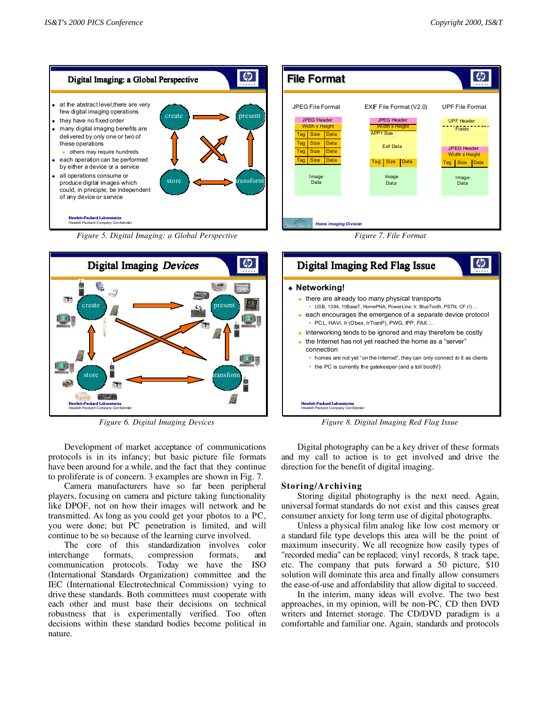

Development of market acceptance of communications protocols is in its infancy; but basic picture file formats have been around for a while, and the fact that they continue to proliferate is of concern. 3 examples are shown in Fig. 7.

Camera manufacturers have so far been peripheral players, focusing on camera and picture taking functionality like DPOF, not on how their images will network and be transmitted. As long as you could get your photos to a PC, you were done; but PC penetration is limited, and will continue to be so because of the learning curve involved.

The core of this standardization involves color interchange formats, compression formats, and communication protocols. Today we have the ISO (International Standards Organization) committee and the IEC (International Electrotechnical Commission) vying to drive these standards. Both committees must cooperate with each other and must base their decisions on technical robustness that is experimentally verified. Too often decisions within these standard bodies become political in nature.

Digital photography can be a key driver of these formats and my call to action is to get involved and drive the direction for the benefit of digital imaging.

### **Storing/Archiving**

Storing digital photography is the next need. Again, universal format standards do not exist and this causes great consumer anxiety for long term use of digital photographs.

Unless a physical film analog like low cost memory or a standard file type develops this area will be the point of maximum insecurity. We all recognize how easily types of "recorded media" can be replaced; vinyl records, 8 track tape, etc. The company that puts forward a 50 picture, \$10 solution will dominate this area and finally allow consumers the ease-of-use and affordability that allow digital to succeed.

In the interim, many ideas will evolve. The two best approaches, in my opinion, will be non-PC, CD then DVD writers and Internet storage. The CD/DVD paradigm is a comfortable and familiar one. Again, standards and protocols